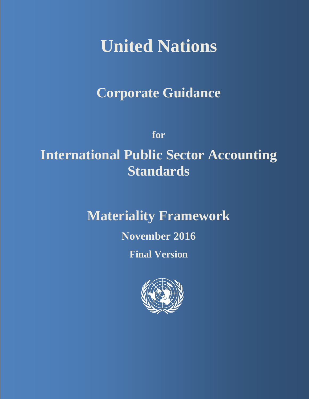# **United Nations**

# **Corporate Guidance**

**for**

# **International Public Sector Accounting Standards**

# **Materiality Framework**

# **November 2016**

# **Final Version**

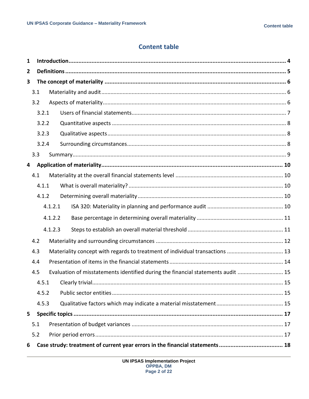#### **Content table**

| 1 |     |                                                                                  |         |                                                                              |  |  |  |
|---|-----|----------------------------------------------------------------------------------|---------|------------------------------------------------------------------------------|--|--|--|
| 2 |     |                                                                                  |         |                                                                              |  |  |  |
| 3 |     |                                                                                  |         |                                                                              |  |  |  |
|   | 3.1 |                                                                                  |         |                                                                              |  |  |  |
|   | 3.2 |                                                                                  |         |                                                                              |  |  |  |
|   |     | 3.2.1                                                                            |         |                                                                              |  |  |  |
|   |     | 3.2.2                                                                            |         |                                                                              |  |  |  |
|   |     | 3.2.3                                                                            |         |                                                                              |  |  |  |
|   |     | 3.2.4                                                                            |         |                                                                              |  |  |  |
|   | 3.3 |                                                                                  |         |                                                                              |  |  |  |
| 4 |     |                                                                                  |         |                                                                              |  |  |  |
|   | 4.1 |                                                                                  |         |                                                                              |  |  |  |
|   |     | 4.1.1                                                                            |         |                                                                              |  |  |  |
|   |     | 4.1.2                                                                            |         |                                                                              |  |  |  |
|   |     |                                                                                  | 4.1.2.1 |                                                                              |  |  |  |
|   |     |                                                                                  | 4.1.2.2 |                                                                              |  |  |  |
|   |     |                                                                                  | 4.1.2.3 |                                                                              |  |  |  |
|   | 4.2 |                                                                                  |         |                                                                              |  |  |  |
|   | 4.3 |                                                                                  |         | Materiality concept with regards to treatment of individual transactions  13 |  |  |  |
|   | 4.4 |                                                                                  |         |                                                                              |  |  |  |
|   | 4.5 | Evaluation of misstatements identified during the financial statements audit  15 |         |                                                                              |  |  |  |
|   |     |                                                                                  |         |                                                                              |  |  |  |
|   |     | 4.5.2                                                                            |         |                                                                              |  |  |  |
|   |     | 4.5.3                                                                            |         |                                                                              |  |  |  |
| 5 |     |                                                                                  |         |                                                                              |  |  |  |
|   | 5.1 |                                                                                  |         |                                                                              |  |  |  |
|   | 5.2 |                                                                                  |         |                                                                              |  |  |  |
| 6 |     |                                                                                  |         |                                                                              |  |  |  |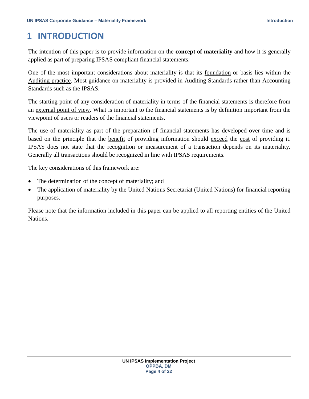# <span id="page-3-0"></span>**1 INTRODUCTION**

The intention of this paper is to provide information on the **concept of materiality** and how it is generally applied as part of preparing IPSAS compliant financial statements.

One of the most important considerations about materiality is that its foundation or basis lies within the Auditing practice. Most guidance on materiality is provided in Auditing Standards rather than Accounting Standards such as the IPSAS.

The starting point of any consideration of materiality in terms of the financial statements is therefore from an external point of view. What is important to the financial statements is by definition important from the viewpoint of users or readers of the financial statements.

The use of materiality as part of the preparation of financial statements has developed over time and is based on the principle that the benefit of providing information should exceed the cost of providing it. IPSAS does not state that the recognition or measurement of a transaction depends on its materiality. Generally all transactions should be recognized in line with IPSAS requirements.

The key considerations of this framework are:

- The determination of the concept of materiality; and
- The application of materiality by the United Nations Secretariat (United Nations) for financial reporting purposes.

Please note that the information included in this paper can be applied to all reporting entities of the United Nations.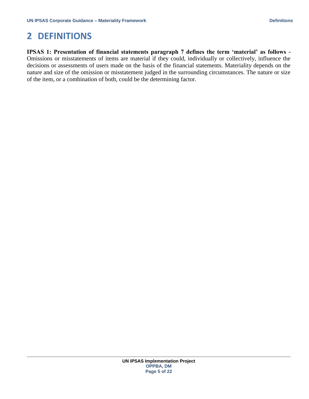# <span id="page-4-0"></span>**2 DEFINITIONS**

**IPSAS 1: Presentation of financial statements paragraph 7 defines the term 'material' as follows -** Omissions or misstatements of items are material if they could, individually or collectively, influence the decisions or assessments of users made on the basis of the financial statements. Materiality depends on the nature and size of the omission or misstatement judged in the surrounding circumstances. The nature or size of the item, or a combination of both, could be the determining factor.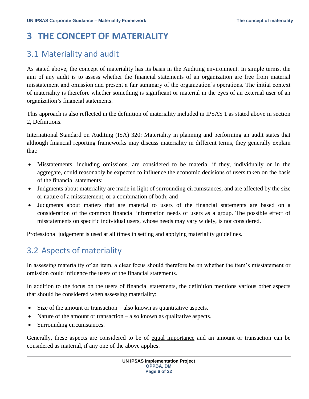# <span id="page-5-0"></span>**3 THE CONCEPT OF MATERIALITY**

### <span id="page-5-1"></span>3.1 Materiality and audit

As stated above, the concept of materiality has its basis in the Auditing environment. In simple terms, the aim of any audit is to assess whether the financial statements of an organization are free from material misstatement and omission and present a fair summary of the organization's operations. The initial context of materiality is therefore whether something is significant or material in the eyes of an external user of an organization's financial statements.

This approach is also reflected in the definition of materiality included in IPSAS 1 as stated above in section 2, Definitions.

International Standard on Auditing (ISA) 320: Materiality in planning and performing an audit states that although financial reporting frameworks may discuss materiality in different terms, they generally explain that:

- Misstatements, including omissions, are considered to be material if they, individually or in the aggregate, could reasonably be expected to influence the economic decisions of users taken on the basis of the financial statements;
- Judgments about materiality are made in light of surrounding circumstances, and are affected by the size or nature of a misstatement, or a combination of both; and
- Judgments about matters that are material to users of the financial statements are based on a consideration of the common financial information needs of users as a group. The possible effect of misstatements on specific individual users, whose needs may vary widely, is not considered.

Professional judgement is used at all times in setting and applying materiality guidelines.

## <span id="page-5-2"></span>3.2 Aspects of materiality

In assessing materiality of an item, a clear focus should therefore be on whether the item's misstatement or omission could influence the users of the financial statements.

In addition to the focus on the users of financial statements, the definition mentions various other aspects that should be considered when assessing materiality:

- Size of the amount or transaction also known as quantitative aspects.
- Nature of the amount or transaction also known as qualitative aspects.
- Surrounding circumstances.

Generally, these aspects are considered to be of equal importance and an amount or transaction can be considered as material, if any one of the above applies.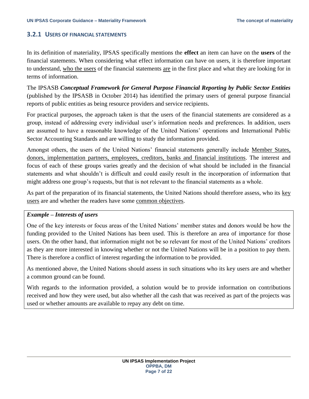#### <span id="page-6-0"></span>**3.2.1 USERS OF FINANCIAL STATEMENTS**

In its definition of materiality, IPSAS specifically mentions the **effect** an item can have on the **users** of the financial statements. When considering what effect information can have on users, it is therefore important to understand, who the users of the financial statements are in the first place and what they are looking for in terms of information.

The IPSASB *Conceptual Framework for General Purpose Financial Reporting by Public Sector Entities*  (published by the IPSASB in October 2014) has identified the primary users of general purpose financial reports of public entities as being resource providers and service recipients.

For practical purposes, the approach taken is that the users of the financial statements are considered as a group, instead of addressing every individual user's information needs and preferences. In addition, users are assumed to have a reasonable knowledge of the United Nations' operations and International Public Sector Accounting Standards and are willing to study the information provided.

Amongst others, the users of the United Nations' financial statements generally include Member States, donors, implementation partners, employees, creditors, banks and financial institutions. The interest and focus of each of these groups varies greatly and the decision of what should be included in the financial statements and what shouldn't is difficult and could easily result in the incorporation of information that might address one group's requests, but that is not relevant to the financial statements as a whole.

As part of the preparation of its financial statements, the United Nations should therefore assess, who its key users are and whether the readers have some common objectives.

#### *Example – Interests of users*

One of the key interests or focus areas of the United Nations' member states and donors would be how the funding provided to the United Nations has been used. This is therefore an area of importance for those users. On the other hand, that information might not be so relevant for most of the United Nations' creditors as they are more interested in knowing whether or not the United Nations will be in a position to pay them. There is therefore a conflict of interest regarding the information to be provided.

As mentioned above, the United Nations should assess in such situations who its key users are and whether a common ground can be found.

With regards to the information provided, a solution would be to provide information on contributions received and how they were used, but also whether all the cash that was received as part of the projects was used or whether amounts are available to repay any debt on time.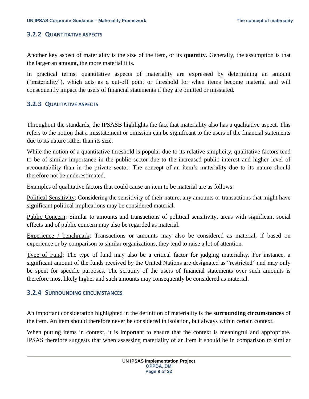#### <span id="page-7-0"></span>**3.2.2 QUANTITATIVE ASPECTS**

Another key aspect of materiality is the size of the item, or its **quantity**. Generally, the assumption is that the larger an amount, the more material it is.

In practical terms, quantitative aspects of materiality are expressed by determining an amount ("materiality"), which acts as a cut-off point or threshold for when items become material and will consequently impact the users of financial statements if they are omitted or misstated.

#### <span id="page-7-1"></span>**3.2.3 QUALITATIVE ASPECTS**

Throughout the standards, the IPSASB highlights the fact that materiality also has a qualitative aspect. This refers to the notion that a misstatement or omission can be significant to the users of the financial statements due to its nature rather than its size.

While the notion of a quantitative threshold is popular due to its relative simplicity, qualitative factors tend to be of similar importance in the public sector due to the increased public interest and higher level of accountability than in the private sector. The concept of an item's materiality due to its nature should therefore not be underestimated.

Examples of qualitative factors that could cause an item to be material are as follows:

Political Sensitivity: Considering the sensitivity of their nature, any amounts or transactions that might have significant political implications may be considered material.

Public Concern: Similar to amounts and transactions of political sensitivity, areas with significant social effects and of public concern may also be regarded as material.

Experience / benchmark: Transactions or amounts may also be considered as material, if based on experience or by comparison to similar organizations, they tend to raise a lot of attention.

Type of Fund: The type of fund may also be a critical factor for judging materiality. For instance, a significant amount of the funds received by the United Nations are designated as "restricted" and may only be spent for specific purposes. The scrutiny of the users of financial statements over such amounts is therefore most likely higher and such amounts may consequently be considered as material.

#### <span id="page-7-2"></span>**3.2.4 SURROUNDING CIRCUMSTANCES**

An important consideration highlighted in the definition of materiality is the **surrounding circumstances** of the item. An item should therefore never be considered in isolation, but always within certain context.

When putting items in context, it is important to ensure that the context is meaningful and appropriate. IPSAS therefore suggests that when assessing materiality of an item it should be in comparison to similar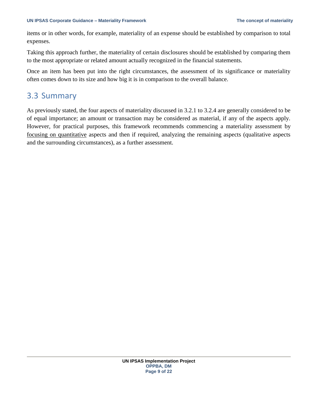items or in other words, for example, materiality of an expense should be established by comparison to total expenses.

Taking this approach further, the materiality of certain disclosures should be established by comparing them to the most appropriate or related amount actually recognized in the financial statements.

Once an item has been put into the right circumstances, the assessment of its significance or materiality often comes down to its size and how big it is in comparison to the overall balance.

### <span id="page-8-0"></span>3.3 Summary

As previously stated, the four aspects of materiality discussed in 3.2.1 to 3.2.4 are generally considered to be of equal importance; an amount or transaction may be considered as material, if any of the aspects apply. However, for practical purposes, this framework recommends commencing a materiality assessment by focusing on quantitative aspects and then if required, analyzing the remaining aspects (qualitative aspects and the surrounding circumstances), as a further assessment.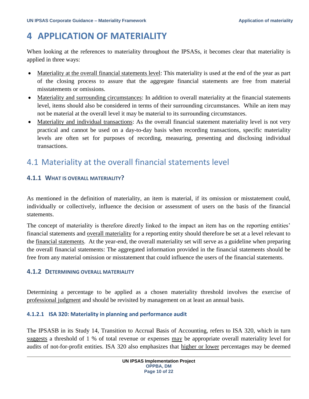# <span id="page-9-0"></span>**4 APPLICATION OF MATERIALITY**

When looking at the references to materiality throughout the IPSASs, it becomes clear that materiality is applied in three ways:

- Materiality at the overall financial statements level: This materiality is used at the end of the year as part of the closing process to assure that the aggregate financial statements are free from material misstatements or omissions.
- Materiality and surrounding circumstances: In addition to overall materiality at the financial statements level, items should also be considered in terms of their surrounding circumstances. While an item may not be material at the overall level it may be material to its surrounding circumstances.
- Materiality and individual transactions: As the overall financial statement materiality level is not very practical and cannot be used on a day-to-day basis when recording transactions, specific materiality levels are often set for purposes of recording, measuring, presenting and disclosing individual transactions.

# <span id="page-9-1"></span>4.1 Materiality at the overall financial statements level

#### <span id="page-9-2"></span>**4.1.1 WHAT IS OVERALL MATERIALITY?**

As mentioned in the definition of materiality, an item is material, if its omission or misstatement could, individually or collectively, influence the decision or assessment of users on the basis of the financial statements.

The concept of materiality is therefore directly linked to the impact an item has on the reporting entities' financial statements and overall materiality for a reporting entity should therefore be set at a level relevant to the financial statements. At the year-end, the overall materiality set will serve as a guideline when preparing the overall financial statements: The aggregated information provided in the financial statements should be free from any material omission or misstatement that could influence the users of the financial statements.

#### <span id="page-9-3"></span>**4.1.2 DETERMINING OVERALL MATERIALITY**

Determining a percentage to be applied as a chosen materiality threshold involves the exercise of professional judgment and should be revisited by management on at least an annual basis.

#### <span id="page-9-4"></span>**4.1.2.1 ISA 320: Materiality in planning and performance audit**

The IPSASB in its Study 14, Transition to Accrual Basis of Accounting, refers to ISA 320, which in turn suggests a threshold of 1 % of total revenue or expenses may be appropriate overall materiality level for audits of not-for-profit entities. ISA 320 also emphasizes that higher or lower percentages may be deemed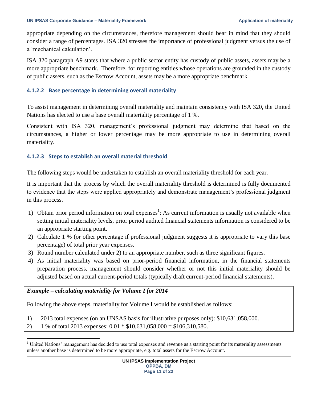appropriate depending on the circumstances, therefore management should bear in mind that they should consider a range of percentages. ISA 320 stresses the importance of professional judgment versus the use of a 'mechanical calculation'.

ISA 320 paragraph A9 states that where a public sector entity has custody of public assets, assets may be a more appropriate benchmark. Therefore, for reporting entities whose operations are grounded in the custody of public assets, such as the Escrow Account, assets may be a more appropriate benchmark.

#### <span id="page-10-0"></span>**4.1.2.2 Base percentage in determining overall materiality**

To assist management in determining overall materiality and maintain consistency with ISA 320, the United Nations has elected to use a base overall materiality percentage of 1 %.

Consistent with ISA 320, management's professional judgment may determine that based on the circumstances, a higher or lower percentage may be more appropriate to use in determining overall materiality.

#### <span id="page-10-1"></span>**4.1.2.3 Steps to establish an overall material threshold**

The following steps would be undertaken to establish an overall materiality threshold for each year.

It is important that the process by which the overall materiality threshold is determined is fully documented to evidence that the steps were applied appropriately and demonstrate management's professional judgment in this process.

- 1) Obtain prior period information on total expenses<sup>1</sup>: As current information is usually not available when setting initial materiality levels, prior period audited financial statements information is considered to be an appropriate starting point.
- 2) Calculate 1 % (or other percentage if professional judgment suggests it is appropriate to vary this base percentage) of total prior year expenses.
- 3) Round number calculated under 2) to an appropriate number, such as three significant figures.
- 4) As initial materiality was based on prior-period financial information, in the financial statements preparation process, management should consider whether or not this initial materiality should be adjusted based on actual current-period totals (typically draft current-period financial statements).

#### *Example – calculating materiality for Volume I for 2014*

 $\overline{a}$ 

Following the above steps, materiality for Volume I would be established as follows:

- 1) 2013 total expenses (on an UNSAS basis for illustrative purposes only): \$10,631,058,000.
- 2) 1 % of total 2013 expenses:  $0.01 * $10,631,058,000 = $106,310,580$ .

 $1$  United Nations' management has decided to use total expenses and revenue as a starting point for its materiality assessments unless another base is determined to be more appropriate, e.g. total assets for the Escrow Account.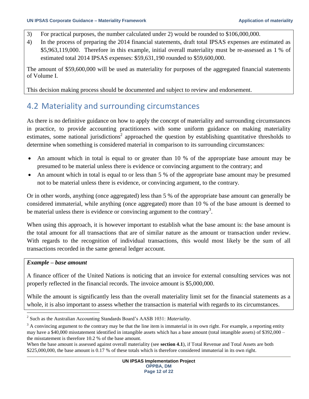- 3) For practical purposes, the number calculated under 2) would be rounded to \$106,000,000.
- 4) In the process of preparing the 2014 financial statements, draft total IPSAS expenses are estimated as \$5,963,119,000. Therefore in this example, initial overall materiality must be re-assessed as 1 % of estimated total 2014 IPSAS expenses: \$59,631,190 rounded to \$59,600,000.

The amount of \$59,600,000 will be used as materiality for purposes of the aggregated financial statements of Volume I.

<span id="page-11-0"></span>This decision making process should be documented and subject to review and endorsement.

### 4.2 Materiality and surrounding circumstances

As there is no definitive guidance on how to apply the concept of materiality and surrounding circumstances in practice, to provide accounting practitioners with some uniform guidance on making materiality estimates, some national jurisdictions<sup>2</sup> approached the question by establishing quantitative thresholds to determine when something is considered material in comparison to its surrounding circumstances:

- An amount which in total is equal to or greater than 10 % of the appropriate base amount may be presumed to be material unless there is evidence or convincing argument to the contrary; and
- An amount which in total is equal to or less than 5 % of the appropriate base amount may be presumed not to be material unless there is evidence, or convincing argument, to the contrary.

Or in other words, anything (once aggregated) less than 5 % of the appropriate base amount can generally be considered immaterial, while anything (once aggregated) more than 10 % of the base amount is deemed to be material unless there is evidence or convincing argument to the contrary<sup>3</sup>.

When using this approach, it is however important to establish what the base amount is: the base amount is the total amount for all transactions that are of similar nature as the amount or transaction under review. With regards to the recognition of individual transactions, this would most likely be the sum of all transactions recorded in the same general ledger account.

#### *Example – base amount*

l

A finance officer of the United Nations is noticing that an invoice for external consulting services was not properly reflected in the financial records. The invoice amount is \$5,000,000.

While the amount is significantly less than the overall materiality limit set for the financial statements as a whole, it is also important to assess whether the transaction is material with regards to its circumstances.

<sup>2</sup> Such as the Australian Accounting Standards Board's AASB 1031: *Materiality*.

 $3 \text{ A}$  convincing argument to the contrary may be that the line item is immaterial in its own right. For example, a reporting entity may have a \$40,000 misstatement identified in intangible assets which has a base amount (total intangible assets) of \$392,000 – the misstatement is therefore 10.2 % of the base amount.

When the base amount is assessed against overall materiality (see **section 4.1**), if Total Revenue and Total Assets are both \$225,000,000, the base amount is 0.17 % of these totals which is therefore considered immaterial in its own right.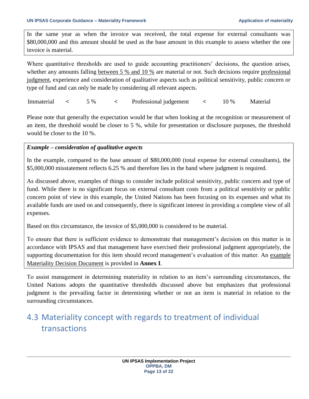In the same year as when the invoice was received, the total expense for external consultants was \$80,000,000 and this amount should be used as the base amount in this example to assess whether the one invoice is material.

Where quantitative thresholds are used to guide accounting practitioners' decisions, the question arises, whether any amounts falling between 5 % and 10 % are material or not. Such decisions require professional judgment, experience and consideration of qualitative aspects such as political sensitivity, public concern or type of fund and can only be made by considering all relevant aspects.

Immaterial **<** 5 % **<** Professional judgement **<** 10 % Material

Please note that generally the expectation would be that when looking at the recognition or measurement of an item, the threshold would be closer to 5 %, while for presentation or disclosure purposes, the threshold would be closer to the 10 %.

#### *Example – consideration of qualitative aspects*

In the example, compared to the base amount of \$80,000,000 (total expense for external consultants), the \$5,000,000 misstatement reflects 6.25 % and therefore lies in the band where judgment is required.

As discussed above, examples of things to consider include political sensitivity, public concern and type of fund. While there is no significant focus on external consultant costs from a political sensitivity or public concern point of view in this example, the United Nations has been focusing on its expenses and what its available funds are used on and consequently, there is significant interest in providing a complete view of all expenses.

Based on this circumstance, the invoice of \$5,000,000 is considered to be material.

To ensure that there is sufficient evidence to demonstrate that management's decision on this matter is in accordance with IPSAS and that management have exercised their professional judgment appropriately, the supporting documentation for this item should record management's evaluation of this matter. An example Materiality Decision Document is provided in **Annex I**.

To assist management in determining materiality in relation to an item's surrounding circumstances, the United Nations adopts the quantitative thresholds discussed above but emphasizes that professional judgment is the prevailing factor in determining whether or not an item is material in relation to the surrounding circumstances.

# <span id="page-12-0"></span>4.3 Materiality concept with regards to treatment of individual transactions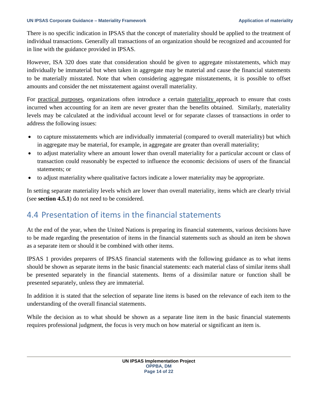There is no specific indication in IPSAS that the concept of materiality should be applied to the treatment of individual transactions. Generally all transactions of an organization should be recognized and accounted for in line with the guidance provided in IPSAS.

However, ISA 320 does state that consideration should be given to aggregate misstatements, which may individually be immaterial but when taken in aggregate may be material and cause the financial statements to be materially misstated. Note that when considering aggregate misstatements, it is possible to offset amounts and consider the net misstatement against overall materiality.

For practical purposes, organizations often introduce a certain materiality approach to ensure that costs incurred when accounting for an item are never greater than the benefits obtained. Similarly, materiality levels may be calculated at the individual account level or for separate classes of transactions in order to address the following issues:

- to capture misstatements which are individually immaterial (compared to overall materiality) but which in aggregate may be material, for example, in aggregate are greater than overall materiality;
- to adjust materiality where an amount lower than overall materiality for a particular account or class of transaction could reasonably be expected to influence the economic decisions of users of the financial statements; or
- to adjust materiality where qualitative factors indicate a lower materiality may be appropriate.

In setting separate materiality levels which are lower than overall materiality, items which are clearly trivial (see **section 4.5.1**) do not need to be considered.

### <span id="page-13-0"></span>4.4 Presentation of items in the financial statements

At the end of the year, when the United Nations is preparing its financial statements, various decisions have to be made regarding the presentation of items in the financial statements such as should an item be shown as a separate item or should it be combined with other items.

IPSAS 1 provides preparers of IPSAS financial statements with the following guidance as to what items should be shown as separate items in the basic financial statements: each material class of similar items shall be presented separately in the financial statements. Items of a dissimilar nature or function shall be presented separately, unless they are immaterial.

In addition it is stated that the selection of separate line items is based on the relevance of each item to the understanding of the overall financial statements.

While the decision as to what should be shown as a separate line item in the basic financial statements requires professional judgment, the focus is very much on how material or significant an item is.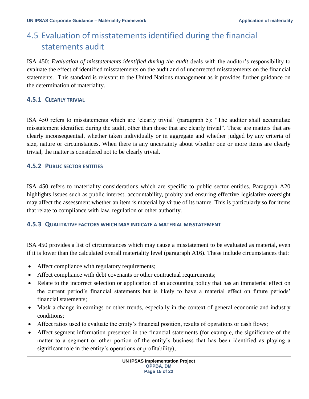# <span id="page-14-0"></span>4.5 Evaluation of misstatements identified during the financial statements audit

ISA 450: *Evaluation of misstatements identified during the audit* deals with the auditor's responsibility to evaluate the effect of identified misstatements on the audit and of uncorrected misstatements on the financial statements. This standard is relevant to the United Nations management as it provides further guidance on the determination of materiality.

#### <span id="page-14-1"></span>**4.5.1 CLEARLY TRIVIAL**

ISA 450 refers to misstatements which are 'clearly trivial' (paragraph 5): "The auditor shall accumulate misstatement identified during the audit, other than those that are clearly trivial". These are matters that are clearly inconsequential, whether taken individually or in aggregate and whether judged by any criteria of size, nature or circumstances. When there is any uncertainty about whether one or more items are clearly trivial, the matter is considered not to be clearly trivial.

#### <span id="page-14-2"></span>**4.5.2 PUBLIC SECTOR ENTITIES**

ISA 450 refers to materiality considerations which are specific to public sector entities. Paragraph A20 highlights issues such as public interest, accountability, probity and ensuring effective legislative oversight may affect the assessment whether an item is material by virtue of its nature. This is particularly so for items that relate to compliance with law, regulation or other authority.

#### <span id="page-14-3"></span>**4.5.3 QUALITATIVE FACTORS WHICH MAY INDICATE A MATERIAL MISSTATEMENT**

ISA 450 provides a list of circumstances which may cause a misstatement to be evaluated as material, even if it is lower than the calculated overall materiality level (paragraph A16). These include circumstances that:

- Affect compliance with regulatory requirements;
- Affect compliance with debt covenants or other contractual requirements;
- Relate to the incorrect selection or application of an accounting policy that has an immaterial effect on the current period's financial statements but is likely to have a material effect on future periods' financial statements;
- Mask a change in earnings or other trends, especially in the context of general economic and industry conditions;
- Affect ratios used to evaluate the entity's financial position, results of operations or cash flows;
- Affect segment information presented in the financial statements (for example, the significance of the matter to a segment or other portion of the entity's business that has been identified as playing a significant role in the entity's operations or profitability);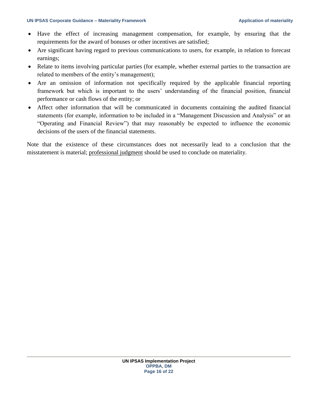- Have the effect of increasing management compensation, for example, by ensuring that the requirements for the award of bonuses or other incentives are satisfied;
- Are significant having regard to previous communications to users, for example, in relation to forecast earnings;
- Relate to items involving particular parties (for example, whether external parties to the transaction are related to members of the entity's management);
- Are an omission of information not specifically required by the applicable financial reporting framework but which is important to the users' understanding of the financial position, financial performance or cash flows of the entity; or
- Affect other information that will be communicated in documents containing the audited financial statements (for example, information to be included in a "Management Discussion and Analysis" or an "Operating and Financial Review") that may reasonably be expected to influence the economic decisions of the users of the financial statements.

Note that the existence of these circumstances does not necessarily lead to a conclusion that the misstatement is material; professional judgment should be used to conclude on materiality.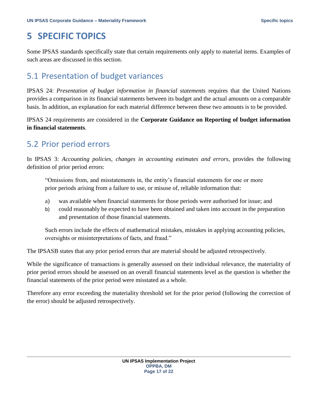# <span id="page-16-0"></span>**5 SPECIFIC TOPICS**

Some IPSAS standards specifically state that certain requirements only apply to material items. Examples of such areas are discussed in this section.

## <span id="page-16-1"></span>5.1 Presentation of budget variances

IPSAS 24: *Presentation of budget information in financial statements* requires that the United Nations provides a comparison in its financial statements between its budget and the actual amounts on a comparable basis. In addition, an explanation for each material difference between these two amounts is to be provided.

IPSAS 24 requirements are considered in the **Corporate Guidance on Reporting of budget information in financial statements**.

### <span id="page-16-2"></span>5.2 Prior period errors

In IPSAS 3: *Accounting policies, changes in accounting estimates and errors*, provides the following definition of prior period errors:

"Omissions from, and misstatements in, the entity's financial statements for one or more prior periods arising from a failure to use, or misuse of, reliable information that:

- a) was available when financial statements for those periods were authorised for issue; and
- b) could reasonably be expected to have been obtained and taken into account in the preparation and presentation of those financial statements.

Such errors include the effects of mathematical mistakes, mistakes in applying accounting policies, oversights or misinterpretations of facts, and fraud."

The IPSASB states that any prior period errors that are material should be adjusted retrospectively.

While the significance of transactions is generally assessed on their individual relevance, the materiality of prior period errors should be assessed on an overall financial statements level as the question is whether the financial statements of the prior period were misstated as a whole.

Therefore any error exceeding the materiality threshold set for the prior period (following the correction of the error) should be adjusted retrospectively.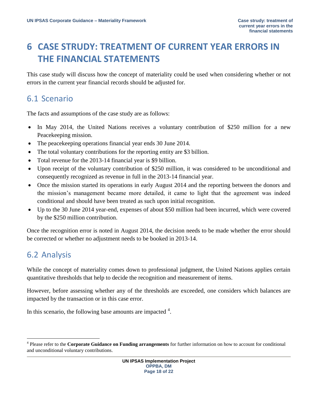# <span id="page-17-0"></span>**6 CASE STRUDY: TREATMENT OF CURRENT YEAR ERRORS IN THE FINANCIAL STATEMENTS**

This case study will discuss how the concept of materiality could be used when considering whether or not errors in the current year financial records should be adjusted for.

### <span id="page-17-1"></span>6.1 Scenario

The facts and assumptions of the case study are as follows:

- In May 2014, the United Nations receives a voluntary contribution of \$250 million for a new Peacekeeping mission.
- The peacekeeping operations financial year ends 30 June 2014.
- The total voluntary contributions for the reporting entity are \$3 billion.
- Total revenue for the 2013-14 financial year is \$9 billion.
- Upon receipt of the voluntary contribution of \$250 million, it was considered to be unconditional and consequently recognized as revenue in full in the 2013-14 financial year.
- Once the mission started its operations in early August 2014 and the reporting between the donors and the mission's management became more detailed, it came to light that the agreement was indeed conditional and should have been treated as such upon initial recognition.
- Up to the 30 June 2014 year-end, expenses of about \$50 million had been incurred, which were covered by the \$250 million contribution.

Once the recognition error is noted in August 2014, the decision needs to be made whether the error should be corrected or whether no adjustment needs to be booked in 2013-14.

## <span id="page-17-2"></span>6.2 Analysis

 $\overline{a}$ 

While the concept of materiality comes down to professional judgment, the United Nations applies certain quantitative thresholds that help to decide the recognition and measurement of items.

However, before assessing whether any of the thresholds are exceeded, one considers which balances are impacted by the transaction or in this case error.

In this scenario, the following base amounts are impacted  $4$ .

<sup>4</sup> Please refer to the **Corporate Guidance on Funding arrangements** for further information on how to account for conditional and unconditional voluntary contributions.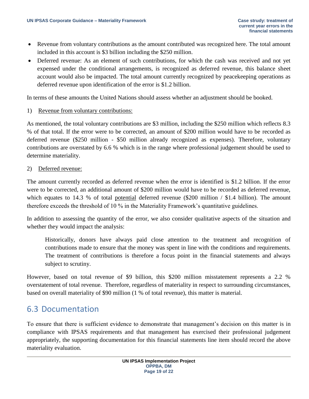- Revenue from voluntary contributions as the amount contributed was recognized here. The total amount included in this account is \$3 billion including the \$250 million.
- Deferred revenue: As an element of such contributions, for which the cash was received and not yet expensed under the conditional arrangements, is recognized as deferred revenue, this balance sheet account would also be impacted. The total amount currently recognized by peacekeeping operations as deferred revenue upon identification of the error is \$1.2 billion.

In terms of these amounts the United Nations should assess whether an adjustment should be booked.

#### 1) Revenue from voluntary contributions:

As mentioned, the total voluntary contributions are \$3 million, including the \$250 million which reflects 8.3 % of that total. If the error were to be corrected, an amount of \$200 million would have to be recorded as deferred revenue (\$250 million - \$50 million already recognized as expenses). Therefore, voluntary contributions are overstated by 6.6 % which is in the range where professional judgement should be used to determine materiality.

#### 2) Deferred revenue:

The amount currently recorded as deferred revenue when the error is identified is \$1.2 billion. If the error were to be corrected, an additional amount of \$200 million would have to be recorded as deferred revenue, which equates to 14.3 % of total potential deferred revenue (\$200 million / \$1.4 billion). The amount therefore exceeds the threshold of 10 % in the Materiality Framework's quantitative guidelines.

In addition to assessing the quantity of the error, we also consider qualitative aspects of the situation and whether they would impact the analysis:

Historically, donors have always paid close attention to the treatment and recognition of contributions made to ensure that the money was spent in line with the conditions and requirements. The treatment of contributions is therefore a focus point in the financial statements and always subject to scrutiny.

However, based on total revenue of \$9 billion, this \$200 million misstatement represents a 2.2 % overstatement of total revenue. Therefore, regardless of materiality in respect to surrounding circumstances, based on overall materiality of \$90 million (1 % of total revenue), this matter is material.

### <span id="page-18-0"></span>6.3 Documentation

To ensure that there is sufficient evidence to demonstrate that management's decision on this matter is in compliance with IPSAS requirements and that management has exercised their professional judgement appropriately, the supporting documentation for this financial statements line item should record the above materiality evaluation.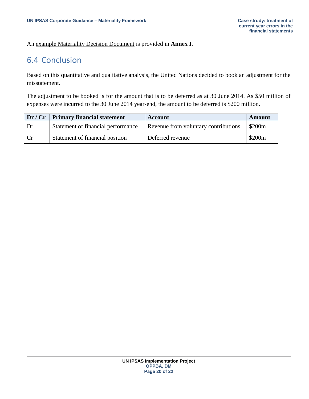#### An example Materiality Decision Document is provided in **Annex I**.

### <span id="page-19-0"></span>6.4 Conclusion

Based on this quantitative and qualitative analysis, the United Nations decided to book an adjustment for the misstatement.

The adjustment to be booked is for the amount that is to be deferred as at 30 June 2014. As \$50 million of expenses were incurred to the 30 June 2014 year-end, the amount to be deferred is \$200 million.

|      | $Dr / Cr$ Primary financial statement | Account                              | <b>Amount</b>      |
|------|---------------------------------------|--------------------------------------|--------------------|
| . Dr | Statement of financial performance    | Revenue from voluntary contributions | \$200 <sub>m</sub> |
| Cr   | Statement of financial position       | Deferred revenue                     | \$200m             |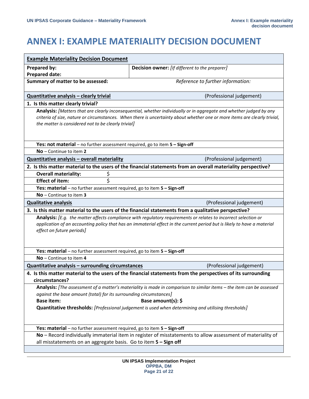# <span id="page-20-0"></span>**ANNEX I: EXAMPLE MATERIALITY DECISION DOCUMENT**

| <b>Example Materiality Decision Document</b>                                                                                                                                                                                                                                                            |                                                                                                                       |  |  |  |  |  |
|---------------------------------------------------------------------------------------------------------------------------------------------------------------------------------------------------------------------------------------------------------------------------------------------------------|-----------------------------------------------------------------------------------------------------------------------|--|--|--|--|--|
| Prepared by:<br><b>Decision owner:</b> [If different to the preparer]                                                                                                                                                                                                                                   |                                                                                                                       |  |  |  |  |  |
| <b>Prepared date:</b>                                                                                                                                                                                                                                                                                   |                                                                                                                       |  |  |  |  |  |
| Summary of matter to be assessed:                                                                                                                                                                                                                                                                       | Reference to further information:                                                                                     |  |  |  |  |  |
| Quantitative analysis - clearly trivial                                                                                                                                                                                                                                                                 | (Professional judgement)                                                                                              |  |  |  |  |  |
| 1. Is this matter clearly trivial?                                                                                                                                                                                                                                                                      |                                                                                                                       |  |  |  |  |  |
| Analysis: [Matters that are clearly inconsequential, whether individually or in aggregate and whether judged by any<br>criteria of size, nature or circumstances. When there is uncertainty about whether one or more items are clearly trivial,<br>the matter is considered not to be clearly trivial] |                                                                                                                       |  |  |  |  |  |
| Yes: not material - no further assessment required, go to item 5 - Sign-off                                                                                                                                                                                                                             |                                                                                                                       |  |  |  |  |  |
| $No$ – Continue to item 2                                                                                                                                                                                                                                                                               |                                                                                                                       |  |  |  |  |  |
| Quantitative analysis - overall materiality                                                                                                                                                                                                                                                             | (Professional judgement)                                                                                              |  |  |  |  |  |
|                                                                                                                                                                                                                                                                                                         | 2. Is this matter material to the users of the financial statements from an overall materiality perspective?          |  |  |  |  |  |
| \$<br><b>Overall materiality:</b>                                                                                                                                                                                                                                                                       |                                                                                                                       |  |  |  |  |  |
| \$<br><b>Effect of item:</b>                                                                                                                                                                                                                                                                            |                                                                                                                       |  |  |  |  |  |
| Yes: material - no further assessment required, go to item 5 - Sign-off                                                                                                                                                                                                                                 |                                                                                                                       |  |  |  |  |  |
| $No$ – Continue to item 3                                                                                                                                                                                                                                                                               |                                                                                                                       |  |  |  |  |  |
| <b>Qualitative analysis</b>                                                                                                                                                                                                                                                                             | (Professional judgement)                                                                                              |  |  |  |  |  |
|                                                                                                                                                                                                                                                                                                         | 3. Is this matter material to the users of the financial statements from a qualitative perspective?                   |  |  |  |  |  |
| Analysis: [E.g. the matter affects compliance with regulatory requirements or relates to incorrect selection or<br>application of an accounting policy that has an immaterial effect in the current period but is likely to have a material<br>effect on future periods]                                |                                                                                                                       |  |  |  |  |  |
| Yes: material $-$ no further assessment required, go to item $5 -$ Sign-off                                                                                                                                                                                                                             |                                                                                                                       |  |  |  |  |  |
| No - Continue to item 4                                                                                                                                                                                                                                                                                 |                                                                                                                       |  |  |  |  |  |
| Quantitative analysis - surrounding circumstances                                                                                                                                                                                                                                                       | (Professional judgement)                                                                                              |  |  |  |  |  |
| 4. Is this matter material to the users of the financial statements from the perspectives of its surrounding<br>circumstances?                                                                                                                                                                          |                                                                                                                       |  |  |  |  |  |
|                                                                                                                                                                                                                                                                                                         | Analysis: [The assessment of a matter's materiality is made in comparison to similar items - the item can be assessed |  |  |  |  |  |
| against the base amount (total) for its surrounding circumstances]                                                                                                                                                                                                                                      |                                                                                                                       |  |  |  |  |  |
| Base amount(s): $\oint$<br><b>Base item:</b>                                                                                                                                                                                                                                                            |                                                                                                                       |  |  |  |  |  |
| Quantitative thresholds: [Professional judgement is used when determining and utilising thresholds]                                                                                                                                                                                                     |                                                                                                                       |  |  |  |  |  |
| Yes: material – no further assessment required, go to item $5 - Sign-off$                                                                                                                                                                                                                               |                                                                                                                       |  |  |  |  |  |
| No - Record individually immaterial item in register of misstatements to allow assessment of materiality of<br>all misstatements on an aggregate basis. Go to item 5 - Sign off                                                                                                                         |                                                                                                                       |  |  |  |  |  |